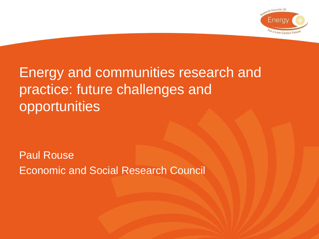

### Energy and communities research and practice: future challenges and opportunities

Paul Rouse Economic and Social Research Council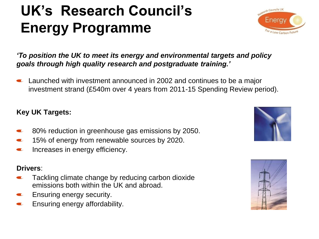# **UK's Research Council's Energy Programme**



*'To position the UK to meet its energy and environmental targets and policy goals through high quality research and postgraduate training.'*

Launched with investment announced in 2002 and continues to be a major investment strand (£540m over 4 years from 2011-15 Spending Review period).

#### **Key UK Targets:**

- 80% reduction in greenhouse gas emissions by 2050.
- 15% of energy from renewable sources by 2020.  $\sqrt{2}$
- Increases in energy efficiency.  $\bullet$

#### **Drivers**:

- Tackling climate change by reducing carbon dioxide emissions both within the UK and abroad.
- Ensuring energy security.
- Ensuring energy affordability.  $\sqrt{2}$



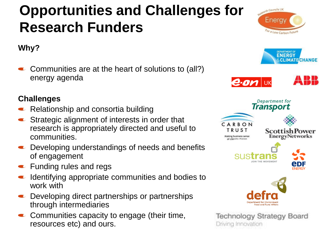## **Opportunities and Challenges for Research Funders**



 $\bullet$  Communities are at the heart of solutions to (all?) energy agenda

#### **Challenges**

- Relationship and consortia building
- **■** Strategic alignment of interests in order that research is appropriately directed and useful to communities.
- **■** Developing understandings of needs and benefits of engagement
- **EXECUTE:** Funding rules and regs
- $\blacksquare$  Identifying appropriate communities and bodies to work with
- **E** Developing direct partnerships or partnerships through intermediaries
- **Communities capacity to engage (their time,** resources etc) and ours.



Driving Innovation

For a Low Carbon Future

arch Councils UK

Eneray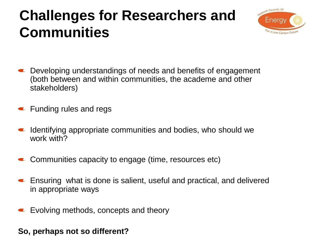### **Challenges for Researchers and Communities**



- Developing understandings of needs and benefits of engagement (both between and within communities, the academe and other stakeholders)
- **Funding rules and regs**
- $\blacksquare$  Identifying appropriate communities and bodies, who should we work with?
- Communities capacity to engage (time, resources etc)
- Ensuring what is done is salient, useful and practical, and delivered in appropriate ways
- Evolving methods, concepts and theory

#### **So, perhaps not so different?**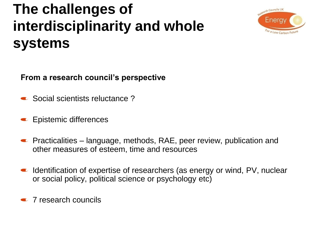## **The challenges of interdisciplinarity and whole systems** :



**From a research council's perspective**

- Social scientists reluctance?
- **Epistemic differences**
- $\bullet$  Practicalities language, methods, RAE, peer review, publication and other measures of esteem, time and resources
- Identification of expertise of researchers (as energy or wind, PV, nuclear or social policy, political science or psychology etc)

**T** research councils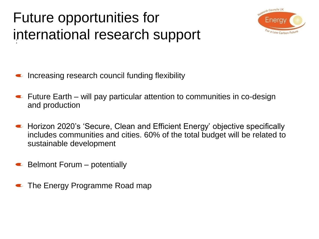# Future opportunities for international research support



- Increasing research council funding flexibility
- $\blacksquare$  Future Earth will pay particular attention to communities in co-design and production
- Horizon 2020's 'Secure, Clean and Efficient Energy' objective specifically includes communities and cities. 60% of the total budget will be related to sustainable development
- Belmont Forum potentially
- The Energy Programme Road map